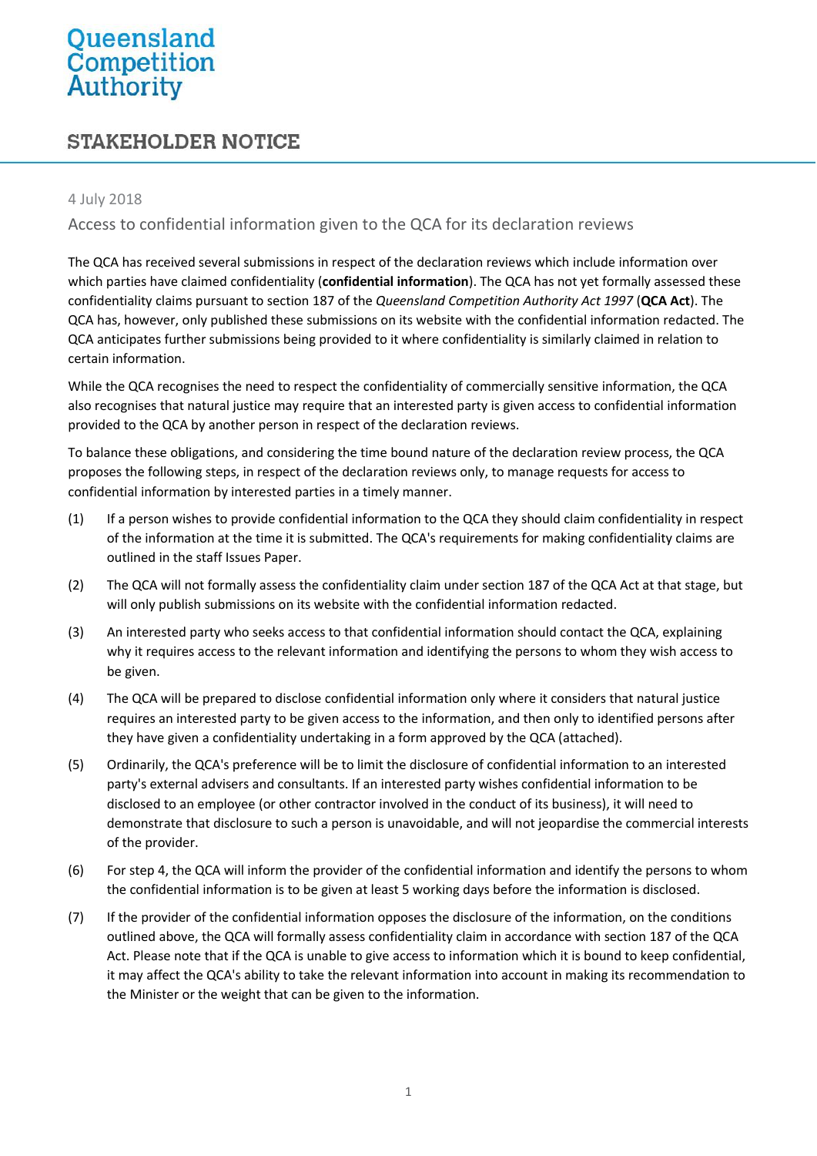# Queensland<br>Competition<br>Authority

# **STAKEHOLDER NOTICE**

### 4 July 2018

## Access to confidential information given to the QCA for its declaration reviews

The QCA has received several submissions in respect of the declaration reviews which include information over which parties have claimed confidentiality (**confidential information**). The QCA has not yet formally assessed these confidentiality claims pursuant to section 187 of the *Queensland Competition Authority Act 1997* (**QCA Act**). The QCA has, however, only published these submissions on its website with the confidential information redacted. The QCA anticipates further submissions being provided to it where confidentiality is similarly claimed in relation to certain information.

While the QCA recognises the need to respect the confidentiality of commercially sensitive information, the QCA also recognises that natural justice may require that an interested party is given access to confidential information provided to the QCA by another person in respect of the declaration reviews.

To balance these obligations, and considering the time bound nature of the declaration review process, the QCA proposes the following steps, in respect of the declaration reviews only, to manage requests for access to confidential information by interested parties in a timely manner.

- (1) If a person wishes to provide confidential information to the QCA they should claim confidentiality in respect of the information at the time it is submitted. The QCA's requirements for making confidentiality claims are outlined in the staff Issues Paper.
- (2) The QCA will not formally assess the confidentiality claim under section 187 of the QCA Act at that stage, but will only publish submissions on its website with the confidential information redacted.
- (3) An interested party who seeks access to that confidential information should contact the QCA, explaining why it requires access to the relevant information and identifying the persons to whom they wish access to be given.
- (4) The QCA will be prepared to disclose confidential information only where it considers that natural justice requires an interested party to be given access to the information, and then only to identified persons after they have given a confidentiality undertaking in a form approved by the QCA (attached).
- (5) Ordinarily, the QCA's preference will be to limit the disclosure of confidential information to an interested party's external advisers and consultants. If an interested party wishes confidential information to be disclosed to an employee (or other contractor involved in the conduct of its business), it will need to demonstrate that disclosure to such a person is unavoidable, and will not jeopardise the commercial interests of the provider.
- (6) For step 4, the QCA will inform the provider of the confidential information and identify the persons to whom the confidential information is to be given at least 5 working days before the information is disclosed.
- (7) If the provider of the confidential information opposes the disclosure of the information, on the conditions outlined above, the QCA will formally assess confidentiality claim in accordance with section 187 of the QCA Act. Please note that if the QCA is unable to give access to information which it is bound to keep confidential, it may affect the QCA's ability to take the relevant information into account in making its recommendation to the Minister or the weight that can be given to the information.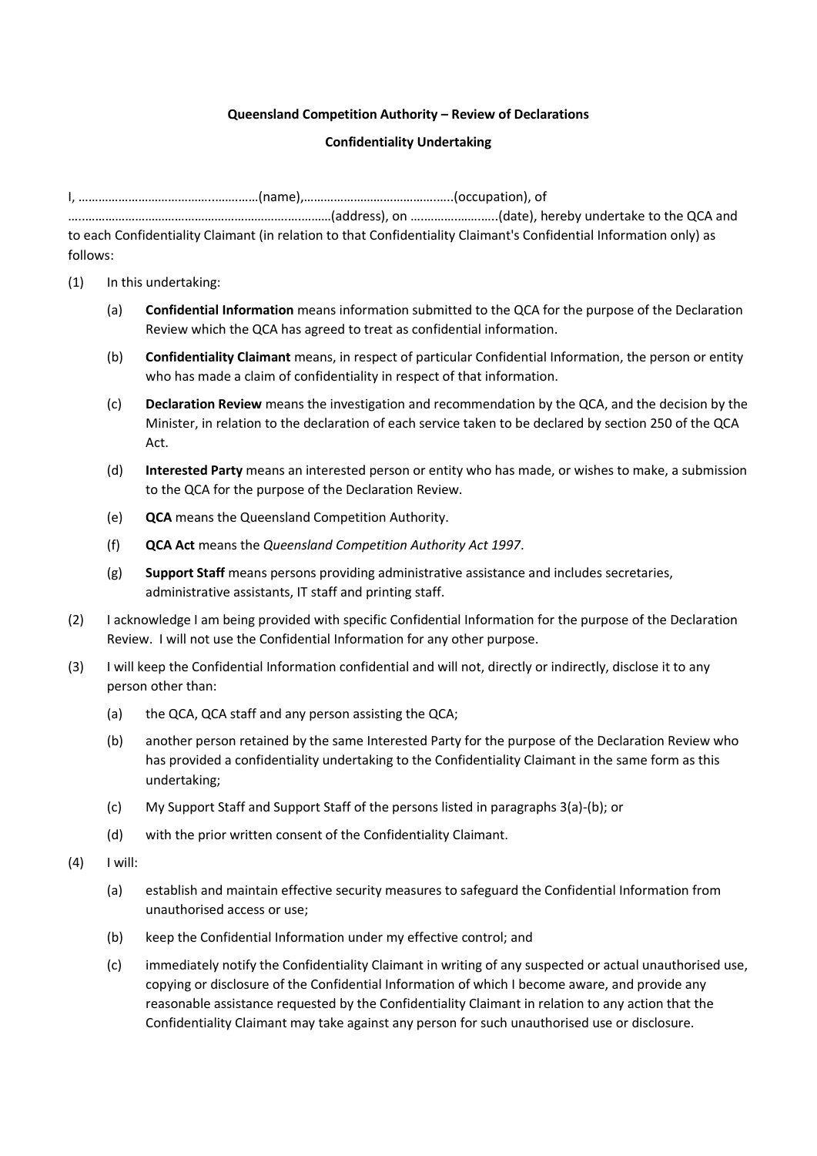#### **Queensland Competition Authority – Review of Declarations**

#### **Confidentiality Undertaking**

|          | date), hereby undertake to the QCA and (and the CCA and summary carry and alters), hereby undertake to the QCA     |
|----------|--------------------------------------------------------------------------------------------------------------------|
|          | to each Confidentiality Claimant (in relation to that Confidentiality Claimant's Confidential Information only) as |
| follows: |                                                                                                                    |

- (1) In this undertaking:
	- (a) **Confidential Information** means information submitted to the QCA for the purpose of the Declaration Review which the QCA has agreed to treat as confidential information.
	- (b) **Confidentiality Claimant** means, in respect of particular Confidential Information, the person or entity who has made a claim of confidentiality in respect of that information.
	- (c) **Declaration Review** means the investigation and recommendation by the QCA, and the decision by the Minister, in relation to the declaration of each service taken to be declared by section 250 of the QCA Act.
	- (d) **Interested Party** means an interested person or entity who has made, or wishes to make, a submission to the QCA for the purpose of the Declaration Review.
	- (e) **QCA** means the Queensland Competition Authority.
	- (f) **QCA Act** means the *Queensland Competition Authority Act 1997*.
	- (g) **Support Staff** means persons providing administrative assistance and includes secretaries, administrative assistants, IT staff and printing staff.
- (2) I acknowledge I am being provided with specific Confidential Information for the purpose of the Declaration Review. I will not use the Confidential Information for any other purpose.
- (3) I will keep the Confidential Information confidential and will not, directly or indirectly, disclose it to any person other than:
	- (a) the QCA, QCA staff and any person assisting the QCA;
	- (b) another person retained by the same Interested Party for the purpose of the Declaration Review who has provided a confidentiality undertaking to the Confidentiality Claimant in the same form as this undertaking;
	- (c) My Support Staff and Support Staff of the persons listed in paragraphs 3(a)-(b); or
	- (d) with the prior written consent of the Confidentiality Claimant.
- (4) I will:
	- (a) establish and maintain effective security measures to safeguard the Confidential Information from unauthorised access or use;
	- (b) keep the Confidential Information under my effective control; and
	- (c) immediately notify the Confidentiality Claimant in writing of any suspected or actual unauthorised use, copying or disclosure of the Confidential Information of which I become aware, and provide any reasonable assistance requested by the Confidentiality Claimant in relation to any action that the Confidentiality Claimant may take against any person for such unauthorised use or disclosure.